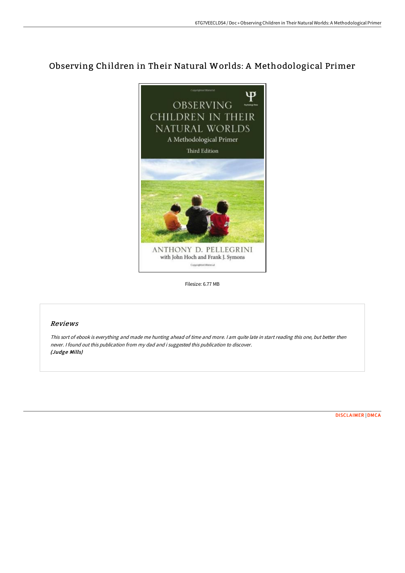## Observing Children in Their Natural Worlds: A Methodological Primer



Filesize: 6.77 MB

## Reviews

This sort of ebook is everything and made me hunting ahead of time and more. <sup>I</sup> am quite late in start reading this one, but better then never. <sup>I</sup> found out this publication from my dad and i suggested this publication to discover. (Judge Mills)

[DISCLAIMER](http://techno-pub.tech/disclaimer.html) | [DMCA](http://techno-pub.tech/dmca.html)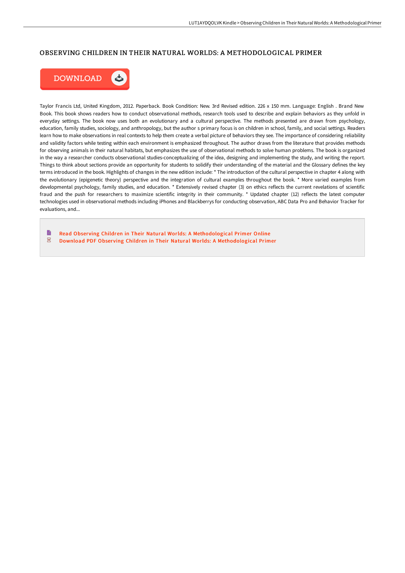## OBSERVING CHILDREN IN THEIR NATURAL WORLDS: A METHODOLOGICAL PRIMER



Taylor Francis Ltd, United Kingdom, 2012. Paperback. Book Condition: New. 3rd Revised edition. 226 x 150 mm. Language: English . Brand New Book. This book shows readers how to conduct observational methods, research tools used to describe and explain behaviors as they unfold in everyday settings. The book now uses both an evolutionary and a cultural perspective. The methods presented are drawn from psychology, education, family studies, sociology, and anthropology, but the author s primary focus is on children in school, family, and social settings. Readers learn how to make observations in real contexts to help them create a verbal picture of behaviors they see. The importance of considering reliability and validity factors while testing within each environment is emphasized throughout. The author draws from the literature that provides methods for observing animals in their natural habitats, but emphasizes the use of observational methods to solve human problems. The book is organized in the way a researcher conducts observational studies-conceptualizing of the idea, designing and implementing the study, and writing the report. Things to think about sections provide an opportunity for students to solidify their understanding of the material and the Glossary defines the key terms introduced in the book. Highlights of changes in the new edition include: \* The introduction of the cultural perspective in chapter 4 along with the evolutionary (epigenetic theory) perspective and the integration of cultural examples throughout the book. \* More varied examples from developmental psychology, family studies, and education. \* Extensively revised chapter (3) on ethics reflects the current revelations of scientific fraud and the push for researchers to maximize scientific integrity in their community. \* Updated chapter (12) reflects the latest computer technologies used in observational methods including iPhones and Blackberrys for conducting observation, ABC Data Pro and Behavior Tracker for evaluations, and...

B Read Obser ving Children in Their Natural Worlds: A [Methodological](http://techno-pub.tech/observing-children-in-their-natural-worlds-a-met.html) Primer Online  $\overline{\rm \bf PDF}$ Download PDF Obser ving Children in Their Natural Worlds: A [Methodological](http://techno-pub.tech/observing-children-in-their-natural-worlds-a-met.html) Primer